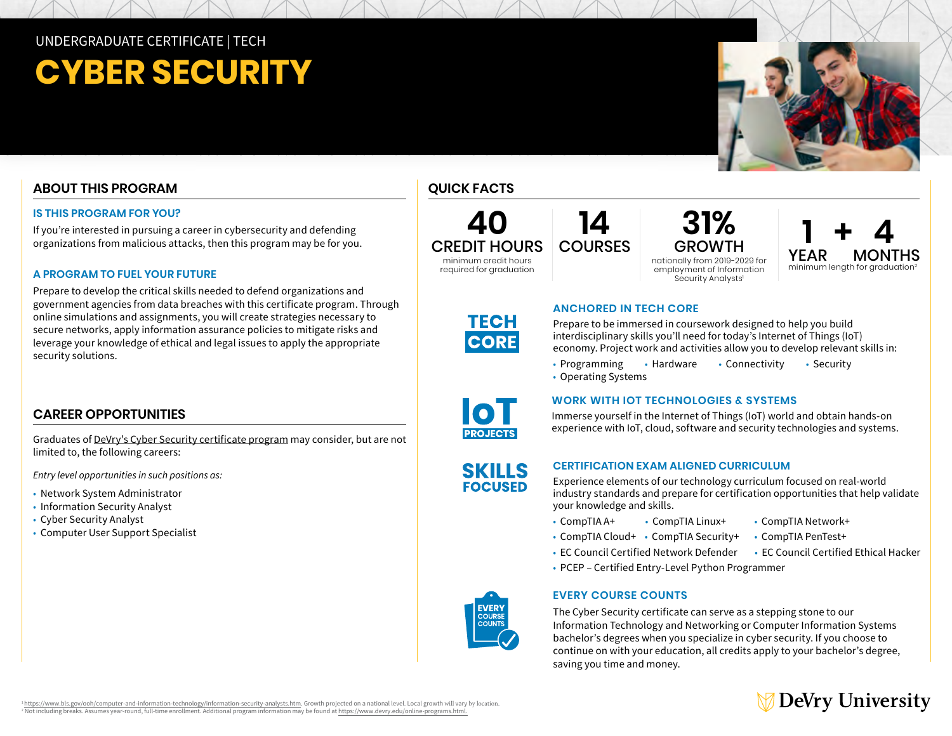# UNDERGRADUATE CERTIFICATE | TECH

# **CYBER SECURITY**

# **ABOUT THIS PROGRAM**

### **IS THIS PROGRAM FOR YOU?**

If you're interested in pursuing a career in cybersecurity and defending organizations from malicious attacks, then this program may be for you.

### **A PROGRAM TO FUEL YOUR FUTURE**

Prepare to develop the critical skills needed to defend organizations and government agencies from data breaches with this certificate program. Through online simulations and assignments, you will create strategies necessary to secure networks, apply information assurance policies to mitigate risks and leverage your knowledge of ethical and legal issues to apply the appropriate security solutions.

# **CAREER OPPORTUNITIES**

Graduates of [DeVry's Cyber Security certificate program](https://www.devry.edu/online-programs/undergraduate-certificates/cyber-security.html) may consider, but are not limited to, the following careers:

*Entry level opportunities in such positions as:* 

- Network System Administrator
- Information Security Analyst
- Cyber Security Analyst
- Computer User Support Specialist

## **QUICK FACTS**





### Security Analysts' **31% GROWTH** nationally from 2019-2029 for employment of Information



# **TECH CORE**



Prepare to be immersed in coursework designed to help you build

• Programming • Hardware • Connectivity • Security • Operating Systems



SKILLS **FOCUSED** 

### **WORK WITH IOT TECHNOLOGIES & SYSTEMS**

Immerse yourself in the Internet of Things (IoT) world and obtain hands-on experience with IoT, cloud, software and security technologies and systems.

### **CERTIFICATION EXAM ALIGNED CURRICULUM**

Experience elements of our technology curriculum focused on real-world industry standards and prepare for certification opportunities that help validate your knowledge and skills.

• CompTIA A+ • CompTIA Linux+ • CompTIA Network+

**ANCHORED IN TECH CORE** 

- 
- CompTIA Cloud+ CompTIA Security+ CompTIA PenTest+
- EC Council Certified Network Defender EC Council Certified Ethical Hacker
- PCEP Certified Entry-Level Python Programmer

### **EVERY COURSE COUNTS**

The Cyber Security certificate can serve as a stepping stone to our Information Technology and Networking or Computer Information Systems bachelor's degrees when you specialize in cyber security. If you choose to continue on with your education, all credits apply to your bachelor's degree, saving you time and money.